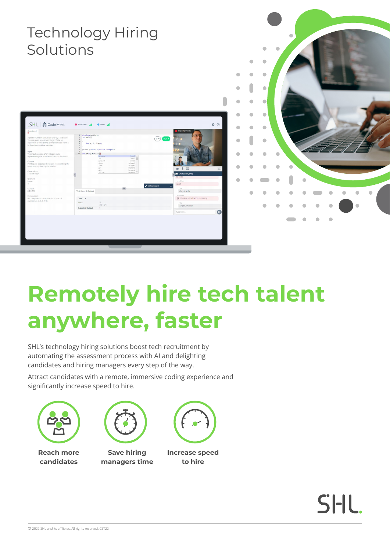#### Technology Hiring Solutions $\mathfrak{g}$  $\mathfrak{m}$  $\bullet$  $\bullet$  $\bullet$  $\blacksquare$  $\bullet$ SHL & Code Meet  $\hat{\mathbf{a}}$   $\infty$  $\bullet$  $\bullet$  $\sqrt{c}$  $\bullet$  $\overline{a}$  $\blacksquare$  $\triangle$ ó  $5$ <br>23456  $\bullet$

# **Remotely hire tech talent anywhere, faster**

SHL's technology hiring solutions boost tech recruitment by automating the assessment process with AI and delighting candidates and hiring managers every step of the way.

Attract candidates with a remote, immersive coding experience and significantly increase speed to hire.





**Reach more candidates**

**Save hiring** 

**managers time**



**Increase speed to hire**